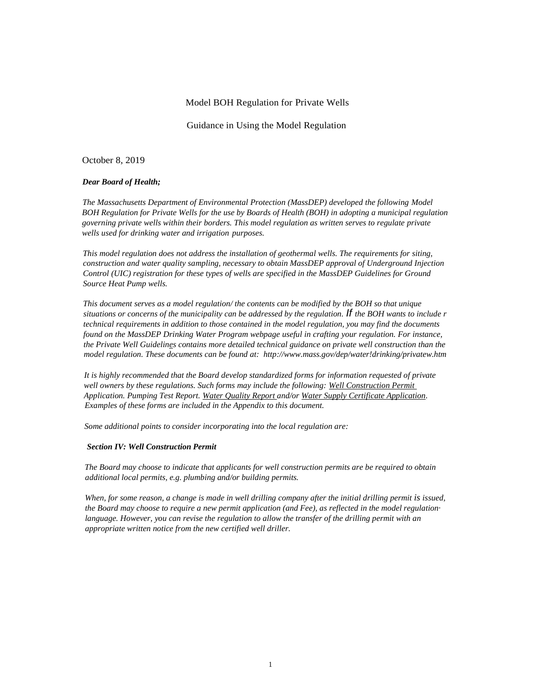#### Model BOH Regulation for Private Wells

Guidance in Using the Model Regulation

October 8, 2019

#### *Dear Board of Health;*

*The Massachusetts Department of Environmental Protection (MassDEP) developed the following Model BOH Regulation for Private Wells for the use by Boards of Health (BOH) in adopting a municipal regulation governing private wells within their borders. This model regulation as written serves to regulate private wells used for drinking water and irrigation purposes.*

*This model regulation does not address the installation of geothermal wells. The requirements for siting, construction and water quality sampling, necessary to obtain MassDEP approval of Underground Injection Control (UIC) registration for these types of wells are specified in the MassDEP Guidelines for Ground Source Heat Pump wells.*

*This document serves as a model regulation/ the contents can be modified by the BOH so that unique situations or concerns of the municipality can be addressed by the regulation. If the BOH wants to include r technical requirements in addition to those contained in the model regulation, you may find the documents found on the MassDEP Drinking Water Program webpage useful in crafting your regulation. For instance, the Private Well Guidelines contains more detailed technical guidance on private well construction than the model regulation. These documents can be found at: <http://www.mass.gov/dep/water!drinking/privatew.htm>*

*It is highly recommended that the Board develop standardized forms for information requested of private well owners by these regulations. Such forms may include the following: Well Construction Permit Application. Pumping Test Report. Water Quality Report and/or Water Supply Certificate Application. Examples of these forms are included in the Appendix to this document.*

*Some additional points to consider incorporating into the local regulation are:*

#### *Section IV: Well Construction Permit*

*The Board may choose to indicate that applicants for well construction permits are be required to obtain additional local permits, e.g. plumbing and/or building permits.*

*When, for some reason, a change is made in well drilling company after the initial drilling permit is issued, the Board may choose to require a new permit application (and Fee), as reflected in the model regulation· language. However, you can revise the regulation to allow the transfer of the drilling permit with an appropriate written notice from the new certified well driller.*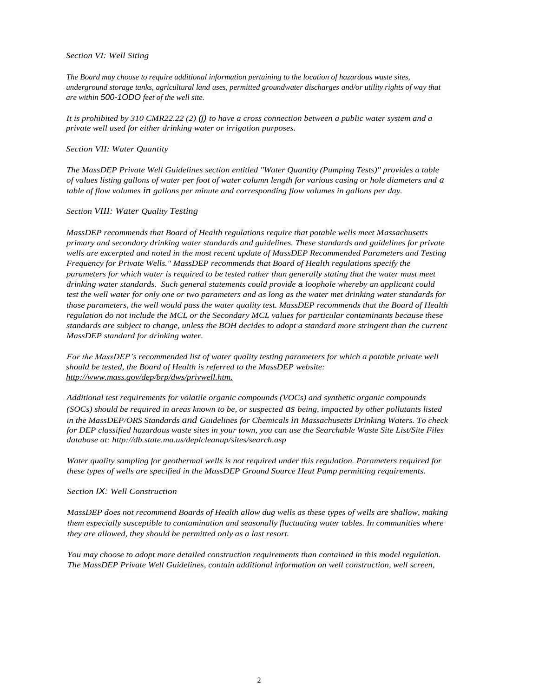#### *Section VI: Well Siting*

*The Board may choose to require additional information pertaining to the location of hazardous waste sites, underground storage tanks, agricultural land uses, permitted groundwater discharges and/or utility rights of way that are within 500-1ODO feet of the well site.*

*It is prohibited by 310 CMR22.22 (2) (j) to have a cross connection between a public water system and a private well used for either drinking water or irrigation purposes.*

#### *Section VII: Water Quantity*

*The MassDEP Private Well Guidelines section entitled "Water Quantity (Pumping Tests)" provides a table of values listing gallons of water per foot of water column length for various casing or hole diameters and a table of flow volumes in gallons per minute and corresponding flow volumes in gallons per day.*

#### *Section VIII: Water Quality Testing*

*MassDEP recommends that Board of Health regulations require that potable wells meet Massachusetts primary and secondary drinking water standards and guidelines. These standards and guidelines for private wells are excerpted and noted in the most recent update of MassDEP Recommended Parameters and Testing Frequency for Private Wells." MassDEP recommends that Board of Health regulations specify the parameters for which water is required to be tested rather than generally stating that the water must meet drinking water standards. Such general statements could provide a loophole whereby an applicant could test the well water for only one or two parameters and as long as the water met drinking water standards for those parameters, the well would pass the water quality test. MassDEP recommends that the Board of Health regulation do not include the MCL or the Secondary MCL values for particular contaminants because these standards are subject to change, unless the BOH decides to adopt a standard more stringent than the current MassDEP standard for drinking water.*

*For the MassDEP's recommended list of water quality testing parameters for which a potable private well should be tested, the Board of Health is referred to the MassDEP website: http://www.mass.gov/dep/brp/dws/privwell.htm.*

*Additional test requirements for volatile organic compounds (VOCs) and synthetic organic compounds (SOCs) should be required in areas known to be, or suspected as being, impacted by other pollutants listed in the MassDEP/ORS Standards and Guidelines for Chemicals in Massachusetts Drinking Waters. To check for DEP classified hazardous waste sites in your town, you can use the Searchable Waste Site List/Site Files database at:<http://db.state.ma.us/deplcleanup/sites/search.asp>*

*Water quality sampling for geothermal wells is not required under this regulation. Parameters required for these types of wells are specified in the MassDEP Ground Source Heat Pump permitting requirements.*

#### *Section IX: Well Construction*

*MassDEP does not recommend Boards of Health allow dug wells as these types of wells are shallow, making them especially susceptible to contamination and seasonally fluctuating water tables. In communities where they are allowed, they should be permitted only as a last resort.*

*You may choose to adopt more detailed construction requirements than contained in this model regulation. The MassDEP Private Well Guidelines, contain additional information on well construction, well screen,*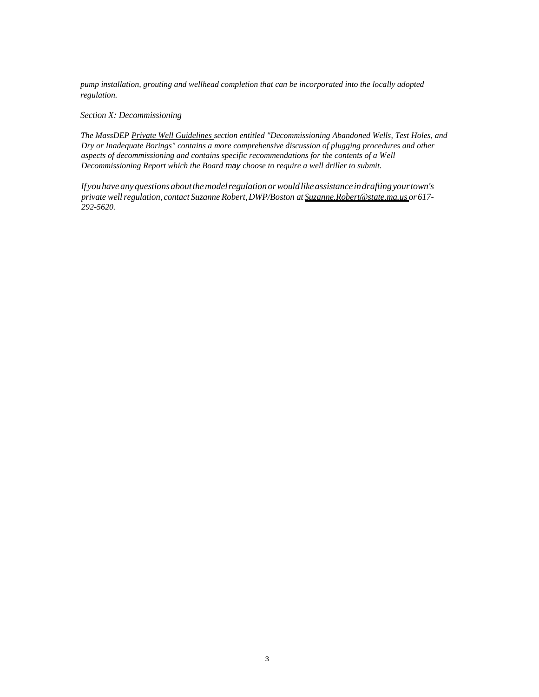*pump installation, grouting and wellhead completion that can be incorporated into the locally adopted regulation.*

*Section X: Decommissioning*

*The MassDEP Private Well Guidelines section entitled "Decommissioning Abandoned Wells, Test Holes, and Dry or Inadequate Borings" contains a more comprehensive discussion of plugging procedures and other aspects of decommissioning and contains specific recommendations for the contents of a Well Decommissioning Report which the Board may choose to require a well driller to submit.*

*If youhaveanyquestionsaboutthemodelregulationorwouldlikeassistanceindraftingyourtown's private wellregulation, contact Suzanne Robert,DWP/Boston at Suzanne.Robert@state.ma.us or 617- 292-5620.*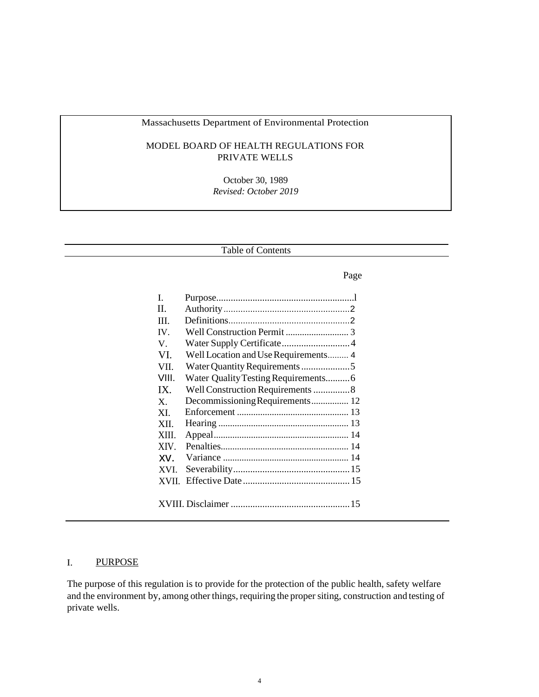# Massachusetts Department of Environmental Protection

## MODEL BOARD OF HEALTH REGULATIONS FOR PRIVATE WELLS

October 30, 1989 *Revised: October 2019*

Table of Contents

### Page

| L     |                                      |
|-------|--------------------------------------|
| H.    |                                      |
| Ш     |                                      |
| IV.   |                                      |
| V.    |                                      |
| VI.   | Well Location and Use Requirements 4 |
| VII.  |                                      |
| VIII. | Water Quality Testing Requirements6  |
| IX.   | Well Construction Requirements 8     |
| X     | Decommissioning Requirements 12      |
| XI.   |                                      |
| XII.  |                                      |
| XIII. |                                      |
| XIV.  |                                      |
| XV.   |                                      |
| XVI.  |                                      |
| XVII. |                                      |
|       |                                      |
|       |                                      |

# I. PURPOSE

The purpose of this regulation is to provide for the protection of the public health, safety welfare and the environment by, among other things, requiring the propersiting, construction and testing of private wells.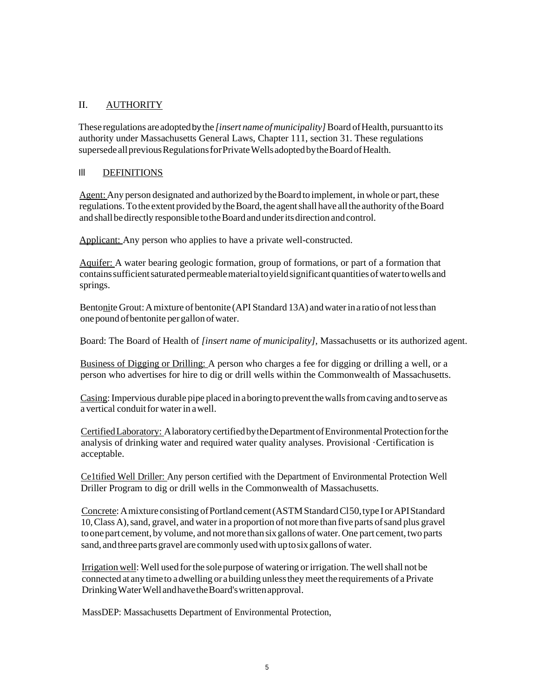# II. AUTHORITY

These regulations areadoptedby the *[insert name ofmunicipality]*Board ofHealth, pursuantto its authority under Massachusetts General Laws, Chapter 111, section 31. These regulations supersede all previous Regulations for Private Wells adopted by the Board of Health.

## Ill DEFINITIONS

Agent: Any person designated and authorized by the Board to implement, in whole or part, these regulations. To the extent provided by the Board, the agent shall have all the authority of the Board and shall be directly responsible to the Board and under its direction and control.

Applicant: Any person who applies to have a private well-constructed.

Aquifer: A water bearing geologic formation, group of formations, or part of a formation that containssufficientsaturatedpermeablematerialtoyieldsignificantquantitiesofwatertowells and springs.

Bentonite Grout: A mixture of bentonite (API Standard 13A) and water in a ratio of not less than one pound of bentonite per gallon of water.

Board: The Board of Health of *[insert name of municipality],* Massachusetts or its authorized agent.

Business of Digging or Drilling: A person who charges a fee for digging or drilling a well, or a person who advertises for hire to dig or drill wells within the Commonwealth of Massachusetts.

Casing: Impervious durable pipe placed in a boring to prevent the walls from caving and to serve as a vertical conduit for water in a well

CertifiedLaboratory: AlaboratorycertifiedbytheDepartmentofEnvironmentalProtectionforthe analysis of drinking water and required water quality analyses. Provisional ·Certification is acceptable.

Ce1tified Well Driller: Any person certified with the Department of Environmental Protection Well Driller Program to dig or drill wells in the Commonwealth of Massachusetts.

Concrete: A mixture consisting of Portland cement (ASTM Standard Cl50, type I or API Standard 10,Class A),sand, gravel, and water in a proportion of notmore than five parts ofsand plus gravel to one part cement, by volume, and not more than six gallons of water. One part cement, two parts sand, and three parts gravel are commonly used with up to six gallons of water.

Irrigation well:Well used forthe solepurpose of watering orirrigation. The wellshall not be connected at anytimeto adwelling or abuilding unlesstheymeettherequirements of aPrivate DrinkingWaterWellandhavetheBoard'swrittenapproval.

MassDEP: Massachusetts Department of Environmental Protection,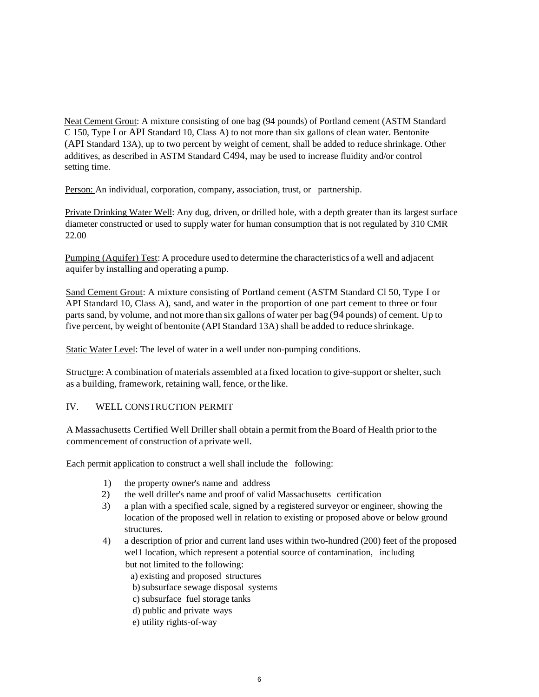Neat Cement Grout: A mixture consisting of one bag (94 pounds) of Portland cement (ASTM Standard C 150, Type I or API Standard 10, Class A) to not more than six gallons of clean water. Bentonite (API Standard 13A), up to two percent by weight of cement, shall be added to reduce shrinkage. Other additives, as described in ASTM Standard C494, may be used to increase fluidity and/or control setting time.

Person: An individual, corporation, company, association, trust, or partnership.

Private Drinking Water Well: Any dug, driven, or drilled hole, with a depth greater than its largest surface diameter constructed or used to supply water for human consumption that is not regulated by 310 CMR 22.00

Pumping (Aquifer) Test: A procedure used to determine the characteristics of a well and adjacent aquifer by installing and operating a pump.

Sand Cement Grout: A mixture consisting of Portland cement (ASTM Standard Cl 50, Type I or API Standard 10, Class A), sand, and water in the proportion of one part cement to three or four parts sand, by volume, and not more than six gallons of water per bag (94 pounds) of cement. Up to five percent, by weight of bentonite (API Standard 13A) shall be added to reduce shrinkage.

Static Water Level: The level of water in a well under non-pumping conditions.

Structure: A combination of materials assembled at a fixed location to give-support or shelter, such as a building, framework, retaining wall, fence, orthe like.

## IV. WELL CONSTRUCTION PERMIT

A Massachusetts Certified Well Driller shall obtain a permit from the Board of Health prior to the commencement of construction of aprivate well.

Each permit application to construct a well shall include the following:

- 1) the property owner's name and address
- 2) the well driller's name and proof of valid Massachusetts certification
- 3) a plan with a specified scale, signed by a registered surveyor or engineer, showing the location of the proposed well in relation to existing or proposed above or below ground structures.
- 4) a description of prior and current land uses within two-hundred (200) feet of the proposed wel1 location, which represent a potential source of contamination, including but not limited to the following:

a) existing and proposed structures

b) subsurface sewage disposal systems

- c) subsurface fuel storage tanks
- d) public and private ways
- e) utility rights-of-way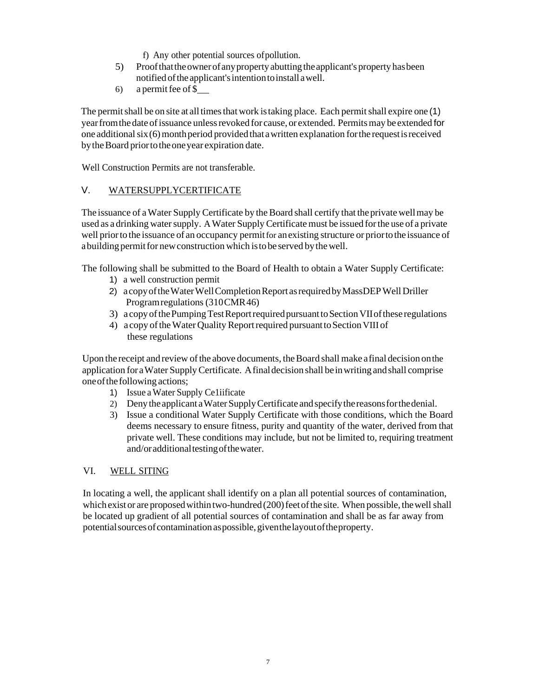- f) Any other potential sources ofpollution.
- 5) Proofthattheownerofanypropertyabuttingtheapplicant's property hasbeen notified ofthe applicant'sintentiontoinstall awell.
- 6) a permit fee of  $\$$

The permit shall be on site at all times that work is taking place. Each permit shall expire one (1) yearfromthedate ofissuance unlessrevoked for cause, or extended. Permitsmay be extended for one additional  $s$ ix $(6)$  month period provided that a written explanation for the request is received by the Board prior to the one year expiration date.

Well Construction Permits are not transferable.

# V. WATERSUPPLYCERTIFICATE

The issuance of a Water Supply Certificate by the Board shall certify that the private well may be used as a drinking watersupply. AWater SupplyCertificate must be issued forthe use of a private well priorto the issuance of an occupancy permitfor anexisting structure or priortothe issuance of a building permit for new construction which is to be served by the well.

The following shall be submitted to the Board of Health to obtain a Water Supply Certificate:

- 1) a well construction permit
- 2) a copy of the Water Well Completion Report as required by MassDEP Well Driller Programregulations(310CMR46)
- 3) a copy of the Pumping Test Report required pursuant to Section VII of these regulations
- 4) a copy of the Water Quality Report required pursuant to Section VIII of these regulations

Upon the receipt and review of the above documents, the Board shall make afinal decision on the application for aWater SupplyCertificate. Afinaldecision shall beinwriting andshall comprise oneofthe following actions;

- 1) Issue aWater Supply Ce1iificate
- 2) Denytheapplicant aWaterSupplyCertificate andspecifythereasonsforthedenial.
- 3) Issue a conditional Water Supply Certificate with those conditions, which the Board deems necessary to ensure fitness, purity and quantity of the water, derived from that private well. These conditions may include, but not be limited to, requiring treatment and/oradditionaltestingofthewater.

## VI. WELL SITING

In locating a well, the applicant shall identify on a plan all potential sources of contamination, which exist or are proposed within two-hundred  $(200)$  feet of the site. When possible, the well shall be located up gradient of all potential sources of contamination and shall be as far away from potentialsourcesofcontaminationaspossible,giventhelayoutoftheproperty.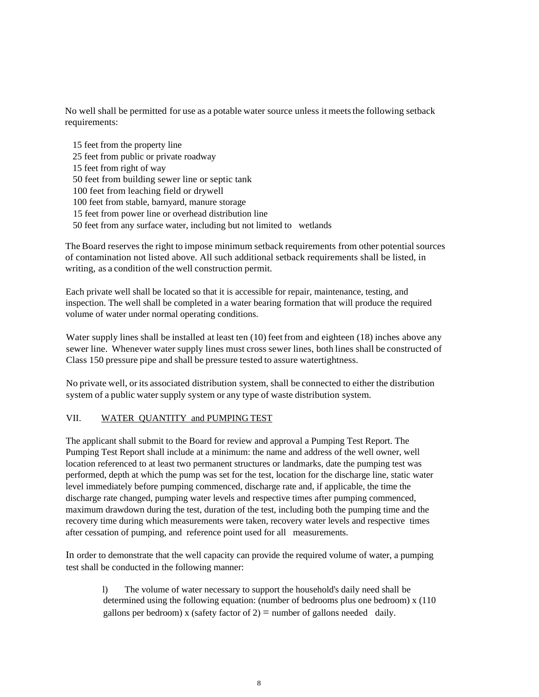No well shall be permitted for use as a potable water source unless it meetsthe following setback requirements:

15 feet from the property line 25 feet from public or private roadway 15 feet from right of way 50 feet from building sewer line or septic tank 100 feet from leaching field or drywell 100 feet from stable, barnyard, manure storage 15 feet from power line or overhead distribution line 50 feet from any surface water, including but not limited to wetlands

The Board reserves the right to impose minimum setback requirements from other potential sources of contamination not listed above. All such additional setback requirements shall be listed, in writing, as a condition of the well construction permit.

Each private well shall be located so that it is accessible for repair, maintenance, testing, and inspection. The well shall be completed in a water bearing formation that will produce the required volume of water under normal operating conditions.

Water supply lines shall be installed at least ten (10) feetfrom and eighteen (18) inches above any sewer line. Whenever water supply lines must cross sewer lines, both lines shall be constructed of Class 150 pressure pipe and shall be pressure tested to assure watertightness.

No private well, orits associated distribution system, shall be connected to either the distribution system of a public water supply system or any type of waste distribution system.

## VII. WATER QUANTITY and PUMPING TEST

The applicant shall submit to the Board for review and approval a Pumping Test Report. The Pumping Test Report shall include at a minimum: the name and address of the well owner, well location referenced to at least two permanent structures or landmarks, date the pumping test was performed, depth at which the pump was set for the test, location for the discharge line, static water level immediately before pumping commenced, discharge rate and, if applicable, the time the discharge rate changed, pumping water levels and respective times after pumping commenced, maximum drawdown during the test, duration of the test, including both the pumping time and the recovery time during which measurements were taken, recovery water levels and respective times after cessation of pumping, and reference point used for all measurements.

In order to demonstrate that the well capacity can provide the required volume of water, a pumping test shall be conducted in the following manner:

l) The volume of water necessary to support the household's daily need shall be determined using the following equation: (number of bedrooms plus one bedroom) x (110 gallons per bedroom) x (safety factor of  $2$ ) = number of gallons needed daily.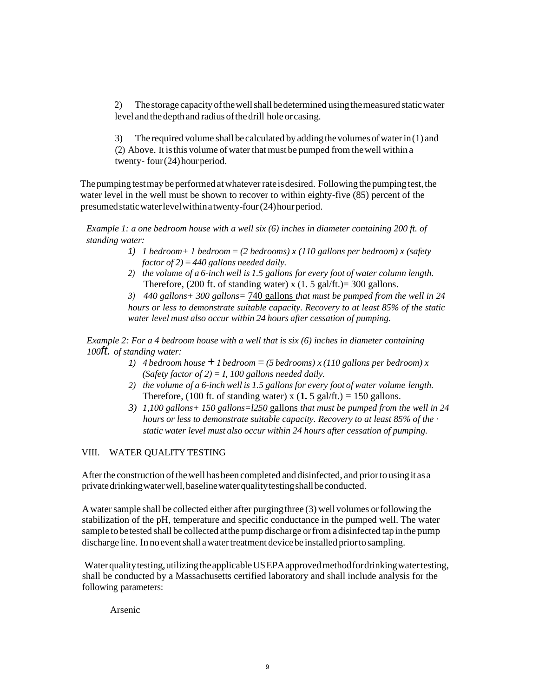2) The storage capacity of the well shall be determined using the measured static water level and the depth and radius of the drill hole or casing.

3) The required volume shall be calculated by adding the volumes of water in  $(1)$  and  $(2)$  Above. It is this volume of water that must be pumped from the well within a twenty- four(24) hour period.

The pumping test may be performed at whatever rate is desired. Following the pumping test, the water level in the well must be shown to recover to within eighty-five (85) percent of the presumed static water level within a twenty-four (24) hour period.

*Example 1: a one bedroom house with a well six (6) inches in diameter containing 200 ft. of standing water:*

- *1) 1 bedroom+ 1 bedroom* = *(2 bedrooms) x (110 gallons per bedroom) x (safety factor of*  $2$ *)*  $=$  440 gallons needed daily.
- *2) the volume of a 6-inch well is 1.5 gallons for every foot of water column length.* Therefore,  $(200 \text{ ft. of standing water}) \times (1.5 \text{ gal/ft.}) = 300 \text{ gallons.}$

*3) 440 gallons+ 300 gallons=* 740 gallons *that must be pumped from the well in 24 hours or less to demonstrate suitable capacity. Recovery to at least 85% of the static water level must also occur within 24 hours after cessation of pumping.*

*Example 2: For a 4 bedroom house with a well that is six (6) inches in diameter containing 100ft. of standing water:*

- 1) *4 bedroom house*  $\pm$  *1 bedroom* = (5 *bedrooms*) *x* (110 gallons per bedroom) *x (Safety factor of 2)*  $=$  *I, 100 gallons needed daily.*
- *2) the volume of a 6-inch well is 1.5 gallons for every foot of water volume length.* Therefore, (100 ft. of standing water) x  $(1.5 \text{ gal/ft.}) = 150 \text{ gallons.}$
- *3) 1,100 gallons+ 150 gallons=l250* gallons *that must be pumped from the well in 24 hours or less to demonstrate suitable capacity. Recovery to at least 85% of the* · *static water level must also occur within 24 hours after cessation of pumping.*

## VIII. WATER QUALITY TESTING

After the construction of the well has been completed and disinfected, and prior to using it as a private drinking water well, baseline water quality testing shall be conducted.

Awatersample shall be collected either after purgingthree (3) well volumes orfollowing the stabilization of the pH, temperature and specific conductance in the pumped well. The water sample to be tested shall be collected at the pump discharge or from a disinfected tap in the pump discharge line. Innoeventshall awatertreatment devicebe installed priortosampling.

Water quality testing, utilizing the applicable USEPA approved method for drinking water testing, shall be conducted by a Massachusetts certified laboratory and shall include analysis for the following parameters:

Arsenic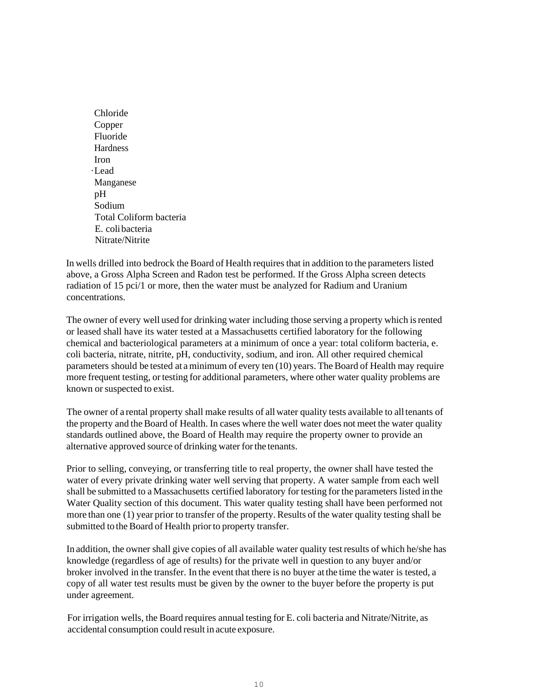Chloride Copper Fluoride **Hardness** Iron ·Lead Manganese pH Sodium Total Coliform bacteria E. colibacteria Nitrate/Nitrite

In wells drilled into bedrock the Board of Health requires that in addition to the parameters listed above, a Gross Alpha Screen and Radon test be performed. If the Gross Alpha screen detects radiation of 15 pci/1 or more, then the water must be analyzed for Radium and Uranium concentrations.

The owner of every well used for drinking water including those serving a property which isrented or leased shall have its water tested at a Massachusetts certified laboratory for the following chemical and bacteriological parameters at a minimum of once a year: total coliform bacteria, e. coli bacteria, nitrate, nitrite, pH, conductivity, sodium, and iron. All other required chemical parameters should be tested at a minimum of every ten (10) years. The Board of Health may require more frequent testing, or testing for additional parameters, where other water quality problems are known or suspected to exist.

The owner of a rental property shall make results of allwater quality tests available to alltenants of the property and the Board of Health. In cases where the well water does not meet the water quality standards outlined above, the Board of Health may require the property owner to provide an alternative approved source of drinking water for the tenants.

Prior to selling, conveying, or transferring title to real property, the owner shall have tested the water of every private drinking water well serving that property. A water sample from each well shall be submitted to a Massachusetts certified laboratory for testing for the parameters listed in the Water Quality section of this document. This water quality testing shall have been performed not more than one (1) year prior to transfer of the property. Results of the water quality testing shall be submitted to the Board of Health prior to property transfer.

In addition, the owner shall give copies of all available water quality testresults of which he/she has knowledge (regardless of age of results) for the private well in question to any buyer and/or broker involved in the transfer. In the event that there is no buyer atthe time the water is tested, a copy of all water test results must be given by the owner to the buyer before the property is put under agreement.

For irrigation wells, the Board requires annual testing for E. coli bacteria and Nitrate/Nitrite, as accidental consumption could result in acute exposure.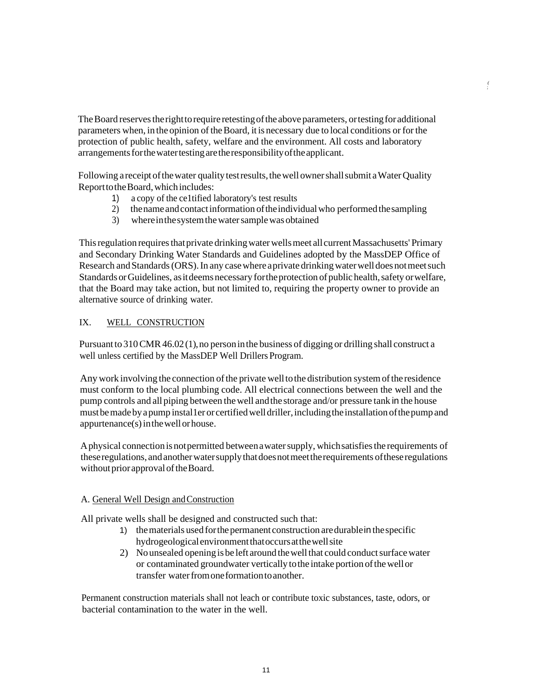The Board reserves the right to require retesting of the above parameters, or testing for additional parameters when, in the opinion of theBoard, it is necessary due to local conditions or for the protection of public health, safety, welfare and the environment. All costs and laboratory arrangements for the water testing are the responsibility of the applicant.

*(* ;

Following a receipt of the water quality test results, the well owner shall submit a Water Quality ReporttotheBoard,whichincludes:

- 1) a copy of the ce1tified laboratory's test results
- 2) the name and contact information of the individual who performed the sampling
- 3) where in the system the water sample was obtained

This regulation requires that private drinking water wells meet all current Massachusetts' Primary and Secondary Drinking Water Standards and Guidelines adopted by the MassDEP Office of Research and Standards (ORS). In any case where a private drinking water well does not meet such Standards or Guidelines, as it deems necessary for the protection of public health, safety or welfare, that the Board may take action, but not limited to, requiring the property owner to provide an alternative source of drinking water.

## IX. WELL CONSTRUCTION

Pursuant to 310 CMR 46.02(1), no person in the business of digging or drilling shall construct a well unless certified by the MassDEP Well Drillers Program.

Any work involving the connection of the private well to the distribution system of the residence must conform to the local plumbing code. All electrical connections between the well and the pump controls and allpiping between thewell andthe storage and/or pressure tank in the house must be made by a pump installer or certified well driller, including the installation of the pump and appurtenance(s)inthewellorhouse.

Aphysical connectionisnotpermitted betweenawatersupply, whichsatisfiesthe requirements of theseregulations, andanotherwatersupplythatdoesnotmeettherequirements oftheseregulations without prior approval of the Board.

## A. General Well Design andConstruction

All private wells shall be designed and constructed such that:

- 1) the materials used for the permanent construction are durable in the specific hydrogeologicalenvironmentthatoccursatthewellsite
- 2) Nounsealed opening is be left around the well that could conduct surface water or contaminated groundwater vertically tothe intake portion ofthewellor transfer water from one formation to another.

Permanent construction materials shall not leach or contribute toxic substances, taste, odors, or bacterial contamination to the water in the well.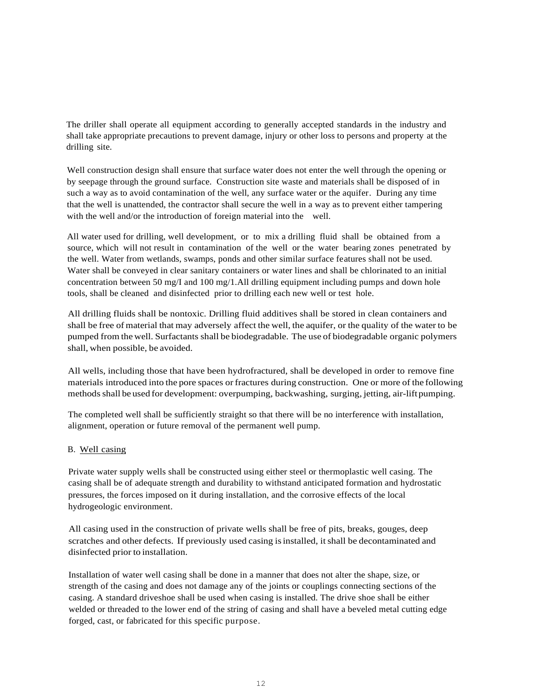The driller shall operate all equipment according to generally accepted standards in the industry and shall take appropriate precautions to prevent damage, injury or other loss to persons and property at the drilling site.

Well construction design shall ensure that surface water does not enter the well through the opening or by seepage through the ground surface. Construction site waste and materials shall be disposed of in such a way as to avoid contamination of the well, any surface water or the aquifer. During any time that the well is unattended, the contractor shall secure the well in a way as to prevent either tampering with the well and/or the introduction of foreign material into the well.

All water used for drilling, well development, or to mix a drilling fluid shall be obtained from a source, which will not result in contamination of the well or the water bearing zones penetrated by the well. Water from wetlands, swamps, ponds and other similar surface features shall not be used. Water shall be conveyed in clear sanitary containers or water lines and shall be chlorinated to an initial concentration between 50 mg/I and 100 mg/1.All drilling equipment including pumps and down hole tools, shall be cleaned and disinfected prior to drilling each new well or test hole.

All drilling fluids shall be nontoxic. Drilling fluid additives shall be stored in clean containers and shall be free of material that may adversely affect the well, the aquifer, or the quality of the water to be pumped from the well. Surfactants shall be biodegradable. The use of biodegradable organic polymers shall, when possible, be avoided.

All wells, including those that have been hydrofractured, shall be developed in order to remove fine materials introduced into the pore spaces orfractures during construction. One or more of the following methods shall be used for development: overpumping, backwashing, surging, jetting, air-lift pumping.

The completed well shall be sufficiently straight so that there will be no interference with installation, alignment, operation or future removal of the permanent well pump.

### B. Well casing

Private water supply wells shall be constructed using either steel or thermoplastic well casing. The casing shall be of adequate strength and durability to withstand anticipated formation and hydrostatic pressures, the forces imposed on it during installation, and the corrosive effects of the local hydrogeologic environment.

All casing used in the construction of private wells shall be free of pits, breaks, gouges, deep scratches and other defects. If previously used casing isinstalled, itshall be decontaminated and disinfected prior to installation.

Installation of water well casing shall be done in a manner that does not alter the shape, size, or strength of the casing and does not damage any of the joints or couplings connecting sections of the casing. A standard driveshoe shall be used when casing is installed. The drive shoe shall be either welded or threaded to the lower end of the string of casing and shall have a beveled metal cutting edge forged, cast, or fabricated for this specific purpose.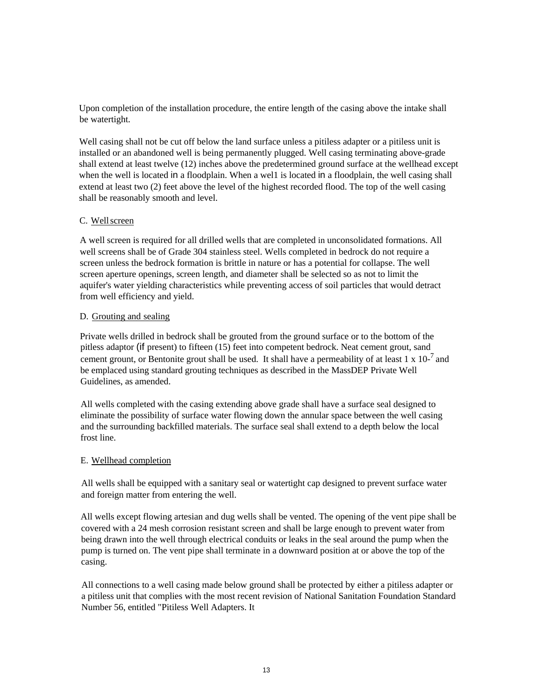Upon completion of the installation procedure, the entire length of the casing above the intake shall be watertight.

Well casing shall not be cut off below the land surface unless a pitiless adapter or a pitiless unit is installed or an abandoned well is being permanently plugged. Well casing terminating above-grade shall extend at least twelve (12) inches above the predetermined ground surface at the wellhead except when the well is located in a floodplain. When a wel1 is located in a floodplain, the well casing shall extend at least two (2) feet above the level of the highest recorded flood. The top of the well casing shall be reasonably smooth and level.

## C. Wellscreen

A well screen is required for all drilled wells that are completed in unconsolidated formations. All well screens shall be of Grade 304 stainless steel. Wells completed in bedrock do not require a screen unless the bedrock formation is brittle in nature or has a potential for collapse. The well screen aperture openings, screen length, and diameter shall be selected so as not to limit the aquifer's water yielding characteristics while preventing access of soil particles that would detract from well efficiency and yield.

### D. Grouting and sealing

Private wells drilled in bedrock shall be grouted from the ground surface or to the bottom of the pitless adaptor (if present) to fifteen (15) feet into competent bedrock. Neat cement grout, sand cement grount, or Bentonite grout shall be used. It shall have a permeability of at least 1 x 10- $^7$  and be emplaced using standard grouting techniques as described in the MassDEP Private Well Guidelines, as amended.

All wells completed with the casing extending above grade shall have a surface seal designed to eliminate the possibility of surface water flowing down the annular space between the well casing and the surrounding backfilled materials. The surface seal shall extend to a depth below the local frost line.

### E. Wellhead completion

All wells shall be equipped with a sanitary seal or watertight cap designed to prevent surface water and foreign matter from entering the well.

All wells except flowing artesian and dug wells shall be vented. The opening of the vent pipe shall be covered with a 24 mesh corrosion resistant screen and shall be large enough to prevent water from being drawn into the well through electrical conduits or leaks in the seal around the pump when the pump is turned on. The vent pipe shall terminate in a downward position at or above the top of the casing.

All connections to a well casing made below ground shall be protected by either a pitiless adapter or a pitiless unit that complies with the most recent revision of National Sanitation Foundation Standard Number 56, entitled "Pitiless Well Adapters. It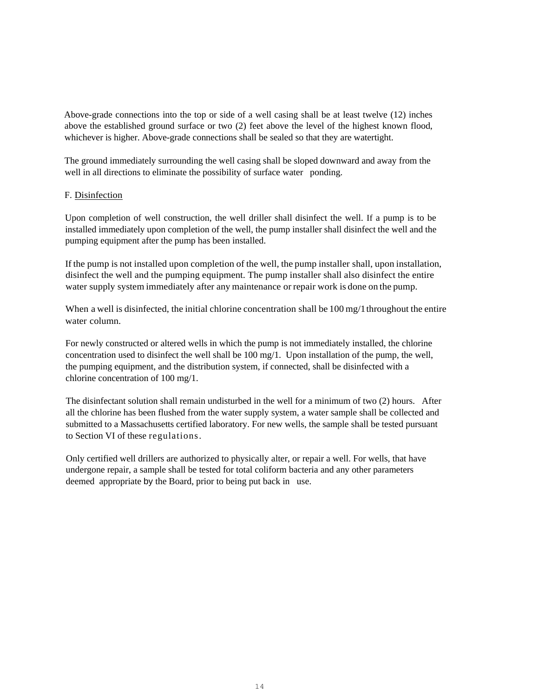Above-grade connections into the top or side of a well casing shall be at least twelve (12) inches above the established ground surface or two (2) feet above the level of the highest known flood, whichever is higher. Above-grade connections shall be sealed so that they are watertight.

The ground immediately surrounding the well casing shall be sloped downward and away from the well in all directions to eliminate the possibility of surface water ponding.

### F. Disinfection

Upon completion of well construction, the well driller shall disinfect the well. If a pump is to be installed immediately upon completion of the well, the pump installer shall disinfect the well and the pumping equipment after the pump has been installed.

If the pump is not installed upon completion of the well, the pump installer shall, upon installation, disinfect the well and the pumping equipment. The pump installer shall also disinfect the entire water supply system immediately after any maintenance or repair work is done on the pump.

When a well is disinfected, the initial chlorine concentration shall be 100 mg/1 throughout the entire water column.

For newly constructed or altered wells in which the pump is not immediately installed, the chlorine concentration used to disinfect the well shall be  $100 \text{ mg}/1$ . Upon installation of the pump, the well, the pumping equipment, and the distribution system, if connected, shall be disinfected with a chlorine concentration of 100 mg/1.

The disinfectant solution shall remain undisturbed in the well for a minimum of two (2) hours. After all the chlorine has been flushed from the water supply system, a water sample shall be collected and submitted to a Massachusetts certified laboratory. For new wells, the sample shall be tested pursuant to Section VI of these regulations.

Only certified well drillers are authorized to physically alter, or repair a well. For wells, that have undergone repair, a sample shall be tested for total coliform bacteria and any other parameters deemed appropriate by the Board, prior to being put back in use.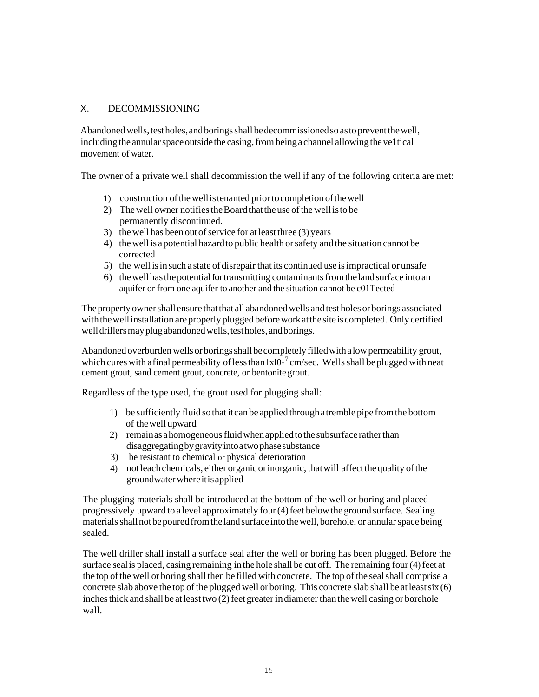# X. DECOMMISSIONING

Abandoned wells, test holes, and borings shall be decommissioned so as to prevent the well, including the annular space outside the casing, from being a channel allowing the veltical movement of water.

The owner of a private well shall decommission the well if any of the following criteria are met:

- 1) construction ofthewellistenanted priortocompletion ofthewell
- 2) The well owner notifies the Board that the use of the well is to be permanently discontinued.
- 3) the well has been out of service for at least three  $(3)$  years
- 4) thewell is apotential hazardto public health orsafety and the situation cannot be corrected
- 5) the well isinsuch a state of disrepair that its continued use isimpractical or unsafe
- 6) thewellhasthepotential fortransmitting contaminantsfromthelandsurface into an aquifer or from one aquifer to another and the situation cannot be c01Tected

The property owner shall ensure that that all abandoned wells and test holes or borings associated with the well installation are properly plugged before work at the site is completed. Only certified well drillers may plug abandoned wells, testholes, and borings.

Abandoned overburden wells or borings shall be completely filled with a low permeability grout, which cures with a final permeability of less than  $1x10^{-7}$  cm/sec. Wells shall be plugged with neat cement grout, sand cement grout, concrete, or bentonite grout.

Regardless of the type used, the grout used for plugging shall:

- 1) be sufficiently fluid sothat itcan be applied throughatremble pipe fromthe bottom of thewell upward
- 2) remain as a homogeneous fluid when applied to the subsurface rather than disaggregatingbygravityintoatwophasesubstance
- 3) be resistant to chemical or physical deterioration
- 4) not leach chemicals, either organic or inorganic, that will affect the quality of the groundwaterwhereitisapplied

The plugging materials shall be introduced at the bottom of the well or boring and placed progressively upward to alevel approximately four(4)feet belowthe ground surface. Sealing materials shall not be poured from the land surface into the well, borehole, or annular space being sealed.

The well driller shall install a surface seal after the well or boring has been plugged. Before the surface seal is placed, casing remaining in the hole shall be cut off. The remaining four (4) feet at the top of the well or boring shall then be filled with concrete. The top of the seal shall comprise a concrete slab above the top of the plugged well or boring. This concrete slab shall be at least  $\sin(6)$ inches thick and shall be at least two  $(2)$  feet greater in diameter than the well casing or borehole wall.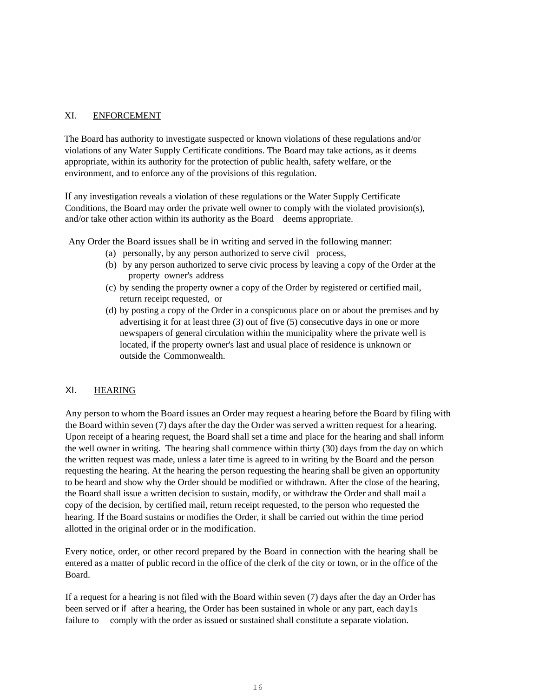### XI. ENFORCEMENT

The Board has authority to investigate suspected or known violations of these regulations and/or violations of any Water Supply Certificate conditions. The Board may take actions, as it deems appropriate, within its authority for the protection of public health, safety welfare, or the environment, and to enforce any of the provisions of this regulation.

If any investigation reveals a violation of these regulations or the Water Supply Certificate Conditions, the Board may order the private well owner to comply with the violated provision(s), and/or take other action within its authority as the Board deems appropriate.

Any Order the Board issues shall be in writing and served in the following manner:

- (a) personally, by any person authorized to serve civil process,
- (b) by any person authorized to serve civic process by leaving a copy of the Order at the property owner's address
- (c) by sending the property owner a copy of the Order by registered or certified mail, return receipt requested, or
- (d) by posting a copy of the Order in a conspicuous place on or about the premises and by advertising it for at least three (3) out of five (5) consecutive days in one or more newspapers of general circulation within the municipality where the private well is located, if the property owner's last and usual place of residence is unknown or outside the Commonwealth.

## XI. HEARING

Any person to whom the Board issues an Order may request a hearing before the Board by filing with the Board within seven (7) days after the day the Order was served a written request for a hearing. Upon receipt of a hearing request, the Board shall set a time and place for the hearing and shall inform the well owner in writing. The hearing shall commence within thirty (30) days from the day on which the written request was made, unless a later time is agreed to in writing by the Board and the person requesting the hearing. At the hearing the person requesting the hearing shall be given an opportunity to be heard and show why the Order should be modified or withdrawn. After the close of the hearing, the Board shall issue a written decision to sustain, modify, or withdraw the Order and shall mail a copy of the decision, by certified mail, return receipt requested, to the person who requested the hearing. If the Board sustains or modifies the Order, it shall be carried out within the time period allotted in the original order or in the modification.

Every notice, order, or other record prepared by the Board in connection with the hearing shall be entered as a matter of public record in the office of the clerk of the city or town, or in the office of the Board.

If a request for a hearing is not filed with the Board within seven (7) days after the day an Order has been served or if after a hearing, the Order has been sustained in whole or any part, each day1s failure to comply with the order as issued or sustained shall constitute a separate violation.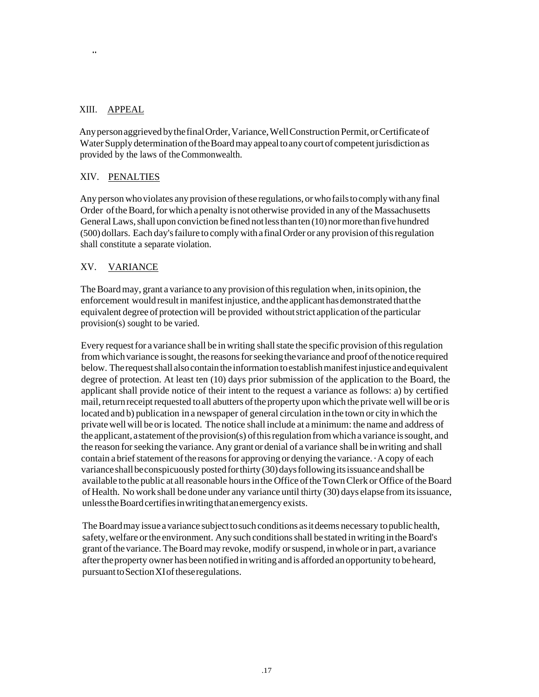# XIII. APPEAL

..

Any person aggrieved by the final Order, Variance, Well Construction Permit, or Certificate of Water Supply determination of the Board may appeal to any court of competent jurisdiction as provided by the laws of theCommonwealth.

# XIV. PENALTIES

Any person who violates any provision of these regulations, or who fails to comply with any final Order of the Board, for which a penalty is not otherwise provided in any of the Massachusetts General Laws, shall upon conviction be fined not less than ten (10) normore than five hundred (500) dollars. Each day'sfailure to complywithafinalOrder or any provision ofthisregulation shall constitute a separate violation.

# XV. VARIANCE

The Board may, grant a variance to any provision of this regulation when, in its opinion, the enforcement would result in manifest injustice, and the applicant has demonstrated that the equivalent degree of protection will be provided without strict application of the particular provision(s) sought to be varied.

Every request for a variance shall be in writing shall state the specific provision of this regulation from which variance is sought, the reasons for seeking the variance and proof of the notice required below. The request shall also contain the information to establish manifest injustice and equivalent degree of protection. At least ten (10) days prior submission of the application to the Board, the applicant shall provide notice of their intent to the request a variance as follows: a) by certified mail, return receipt requested to all abutters of the property upon which the private well will be or is located and b) publication in a newspaper of general circulation inthe town or city inwhich the privatewell will beorislocated. The notice shall include at aminimum: the name and address of the applicant, a statement of the provision(s) of this regulation from which a variance is sought, and the reason forseeking the variance. Any grant or denial of a variance shall beinwriting and shall contain a brief statement of the reasons for approving or denying the variance.  $\cdot$  A copy of each variance shall be conspicuously posted for thirty (30) days following its issuance and shall be available tothe public at allreasonable hoursinthe Office oftheTownClerk or Office oftheBoard of Health. No work shall bedone under any variance until thirty (30) days elapse from itsissuance, unless the Board certifies in writing that an emergency exists.

The Board may issue a variance subject to such conditions as it deems necessary to public health, safety, welfare or the environment. Any such conditions shall be stated in writing in the Board's grant ofthevariance. TheBoardmay revoke, modify orsuspend, inwhole orin part, avariance after the property owner has been notified in writing and is afforded an opportunity to be heard, pursuant to Section XI of these regulations.